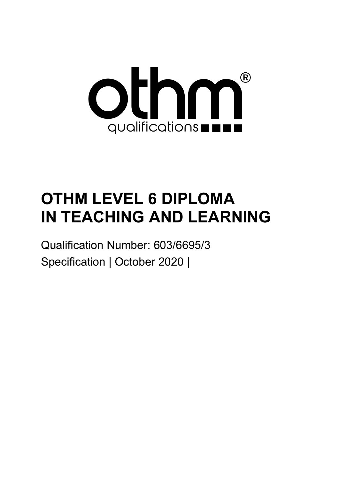

# **OTHM LEVEL 6 DIPLOMA IN TEACHING AND LEARNING**

Qualification Number: 603/6695/3 Specification | October 2020 |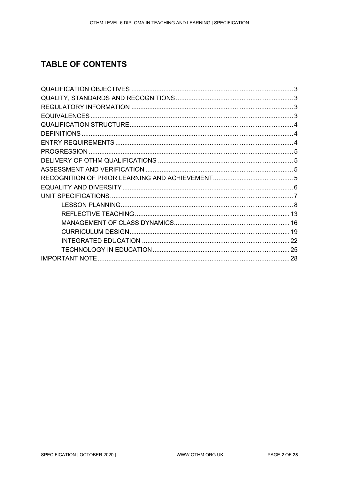### **TABLE OF CONTENTS**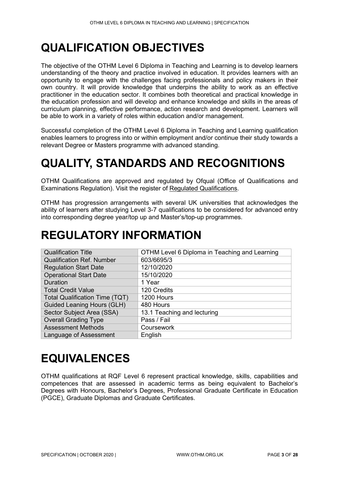# <span id="page-2-0"></span>**QUALIFICATION OBJECTIVES**

The objective of the OTHM Level 6 Diploma in Teaching and Learning is to develop learners understanding of the theory and practice involved in education. It provides learners with an opportunity to engage with the challenges facing professionals and policy makers in their own country. It will provide knowledge that underpins the ability to work as an effective practitioner in the education sector. It combines both theoretical and practical knowledge in the education profession and will develop and enhance knowledge and skills in the areas of curriculum planning, effective performance, action research and development. Learners will be able to work in a variety of roles within education and/or management.

Successful completion of the OTHM Level 6 Diploma in Teaching and Learning qualification enables learners to progress into or within employment and/or continue their study towards a relevant Degree or Masters programme with advanced standing.

# <span id="page-2-1"></span>**QUALITY, STANDARDS AND RECOGNITIONS**

OTHM Qualifications are approved and regulated by Ofqual (Office of Qualifications and Examinations Regulation). Visit the register of [Regulated Qualifications.](http://register.ofqual.gov.uk/)

OTHM has progression arrangements with several UK universities that acknowledges the ability of learners after studying Level 3-7 qualifications to be considered for advanced entry into corresponding degree year/top up and Master's/top-up programmes.

### <span id="page-2-2"></span>**REGULATORY INFORMATION**

| <b>Qualification Title</b>            | OTHM Level 6 Diploma in Teaching and Learning |
|---------------------------------------|-----------------------------------------------|
| <b>Qualification Ref. Number</b>      | 603/6695/3                                    |
| <b>Regulation Start Date</b>          | 12/10/2020                                    |
| <b>Operational Start Date</b>         | 15/10/2020                                    |
| <b>Duration</b>                       | 1 Year                                        |
| <b>Total Credit Value</b>             | 120 Credits                                   |
| <b>Total Qualification Time (TQT)</b> | 1200 Hours                                    |
| <b>Guided Leaning Hours (GLH)</b>     | 480 Hours                                     |
| Sector Subject Area (SSA)             | 13.1 Teaching and lecturing                   |
| <b>Overall Grading Type</b>           | Pass / Fail                                   |
| <b>Assessment Methods</b>             | Coursework                                    |
| Language of Assessment                | English                                       |

# <span id="page-2-3"></span>**EQUIVALENCES**

OTHM qualifications at RQF Level 6 represent practical knowledge, skills, capabilities and competences that are assessed in academic terms as being equivalent to Bachelor's Degrees with Honours, Bachelor's Degrees, Professional Graduate Certificate in Education (PGCE), Graduate Diplomas and Graduate Certificates.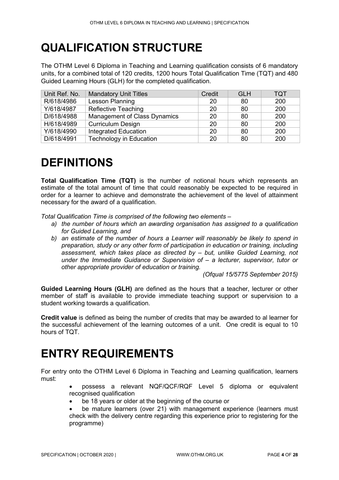# <span id="page-3-0"></span>**QUALIFICATION STRUCTURE**

The OTHM Level 6 Diploma in Teaching and Learning qualification consists of 6 mandatory units, for a combined total of 120 credits, 1200 hours Total Qualification Time (TQT) and 480 Guided Learning Hours (GLH) for the completed qualification.

| Unit Ref. No. | <b>Mandatory Unit Titles</b>        | Credit | <b>GLH</b> | <b>TQT</b> |
|---------------|-------------------------------------|--------|------------|------------|
| R/618/4986    | Lesson Planning                     | 20     | 80         | 200        |
| Y/618/4987    | <b>Reflective Teaching</b>          | 20     | 80         | 200        |
| D/618/4988    | <b>Management of Class Dynamics</b> | 20     | 80         | 200        |
| H/618/4989    | <b>Curriculum Design</b>            | 20     | 80         | 200        |
| Y/618/4990    | Integrated Education                | 20     | 80         | 200        |
| D/618/4991    | <b>Technology in Education</b>      | 20     | 80         | 200        |

# <span id="page-3-1"></span>**DEFINITIONS**

**Total Qualification Time (TQT)** is the number of notional hours which represents an estimate of the total amount of time that could reasonably be expected to be required in order for a learner to achieve and demonstrate the achievement of the level of attainment necessary for the award of a qualification.

*Total Qualification Time is comprised of the following two elements –*

- *a) the number of hours which an awarding organisation has assigned to a qualification for Guided Learning, and*
- *b) an estimate of the number of hours a Learner will reasonably be likely to spend in preparation, study or any other form of participation in education or training, including assessment, which takes place as directed by – but, unlike Guided Learning, not under the Immediate Guidance or Supervision of – a lecturer, supervisor, tutor or other appropriate provider of education or training.*

*(Ofqual 15/5775 September 2015)*

**Guided Learning Hours (GLH)** are defined as the hours that a teacher, lecturer or other member of staff is available to provide immediate teaching support or supervision to a student working towards a qualification.

**Credit value** is defined as being the number of credits that may be awarded to al learner for the successful achievement of the learning outcomes of a unit. One credit is equal to 10 hours of TQT.

### <span id="page-3-2"></span>**ENTRY REQUIREMENTS**

For entry onto the OTHM Level 6 Diploma in Teaching and Learning qualification, learners must:

- possess a relevant NQF/QCF/RQF Level 5 diploma or equivalent recognised qualification
- be 18 years or older at the beginning of the course or

• be mature learners (over 21) with management experience (learners must check with the delivery centre regarding this experience prior to registering for the programme)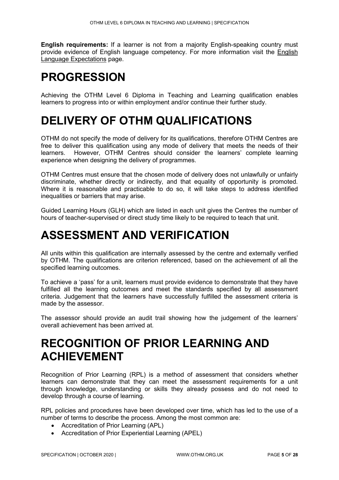**English requirements:** If a learner is not from a majority English-speaking country must provide evidence of English language competency. For more information visit the [English](http://othm.org.uk/english-language.html)  [Language Expectations](http://othm.org.uk/english-language.html) page.

# <span id="page-4-0"></span>**PROGRESSION**

Achieving the OTHM Level 6 Diploma in Teaching and Learning qualification enables learners to progress into or within employment and/or continue their further study.

## <span id="page-4-1"></span>**DELIVERY OF OTHM QUALIFICATIONS**

OTHM do not specify the mode of delivery for its qualifications, therefore OTHM Centres are free to deliver this qualification using any mode of delivery that meets the needs of their learners. However, OTHM Centres should consider the learners' complete learning experience when designing the delivery of programmes.

OTHM Centres must ensure that the chosen mode of delivery does not unlawfully or unfairly discriminate, whether directly or indirectly, and that equality of opportunity is promoted. Where it is reasonable and practicable to do so, it will take steps to address identified inequalities or barriers that may arise.

Guided Learning Hours (GLH) which are listed in each unit gives the Centres the number of hours of teacher-supervised or direct study time likely to be required to teach that unit.

## <span id="page-4-2"></span>**ASSESSMENT AND VERIFICATION**

All units within this qualification are internally assessed by the centre and externally verified by OTHM. The qualifications are criterion referenced, based on the achievement of all the specified learning outcomes.

To achieve a 'pass' for a unit, learners must provide evidence to demonstrate that they have fulfilled all the learning outcomes and meet the standards specified by all assessment criteria. Judgement that the learners have successfully fulfilled the assessment criteria is made by the assessor.

The assessor should provide an audit trail showing how the judgement of the learners' overall achievement has been arrived at.

### <span id="page-4-3"></span>**RECOGNITION OF PRIOR LEARNING AND ACHIEVEMENT**

Recognition of Prior Learning (RPL) is a method of assessment that considers whether learners can demonstrate that they can meet the assessment requirements for a unit through knowledge, understanding or skills they already possess and do not need to develop through a course of learning.

RPL policies and procedures have been developed over time, which has led to the use of a number of terms to describe the process. Among the most common are:

- Accreditation of Prior Learning (APL)
- Accreditation of Prior Experiential Learning (APEL)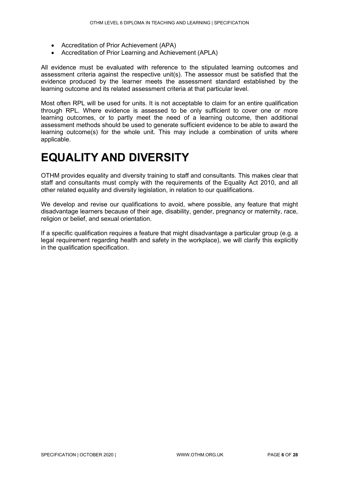- Accreditation of Prior Achievement (APA)
- Accreditation of Prior Learning and Achievement (APLA)

All evidence must be evaluated with reference to the stipulated learning outcomes and assessment criteria against the respective unit(s). The assessor must be satisfied that the evidence produced by the learner meets the assessment standard established by the learning outcome and its related assessment criteria at that particular level.

Most often RPL will be used for units. It is not acceptable to claim for an entire qualification through RPL. Where evidence is assessed to be only sufficient to cover one or more learning outcomes, or to partly meet the need of a learning outcome, then additional assessment methods should be used to generate sufficient evidence to be able to award the learning outcome(s) for the whole unit. This may include a combination of units where applicable.

## <span id="page-5-0"></span>**EQUALITY AND DIVERSITY**

OTHM provides equality and diversity training to staff and consultants. This makes clear that staff and consultants must comply with the requirements of the Equality Act 2010, and all other related equality and diversity legislation, in relation to our qualifications.

We develop and revise our qualifications to avoid, where possible, any feature that might disadvantage learners because of their age, disability, gender, pregnancy or maternity, race, religion or belief, and sexual orientation.

If a specific qualification requires a feature that might disadvantage a particular group (e.g. a legal requirement regarding health and safety in the workplace), we will clarify this explicitly in the qualification specification.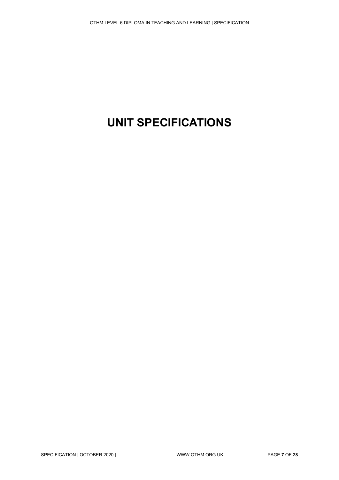# <span id="page-6-0"></span>**UNIT SPECIFICATIONS**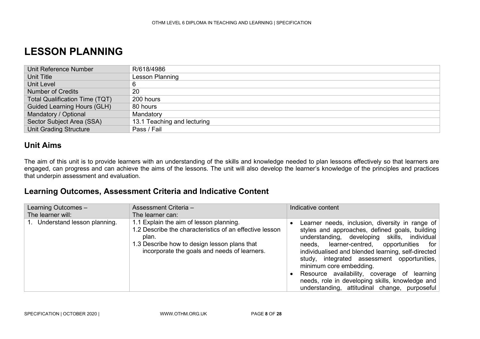### **LESSON PLANNING**

| Unit Reference Number                 | R/618/4986                  |
|---------------------------------------|-----------------------------|
| Unit Title                            | Lesson Planning             |
| Unit Level                            |                             |
| <b>Number of Credits</b>              | 20                          |
| <b>Total Qualification Time (TQT)</b> | 200 hours                   |
| <b>Guided Learning Hours (GLH)</b>    | 80 hours                    |
| Mandatory / Optional                  | Mandatory                   |
| Sector Subject Area (SSA)             | 13.1 Teaching and lecturing |
| <b>Unit Grading Structure</b>         | Pass / Fail                 |

### **Unit Aims**

The aim of this unit is to provide learners with an understanding of the skills and knowledge needed to plan lessons effectively so that learners are engaged, can progress and can achieve the aims of the lessons. The unit will also develop the learner's knowledge of the principles and practices that underpin assessment and evaluation.

### <span id="page-7-0"></span>**Learning Outcomes, Assessment Criteria and Indicative Content**

| Learning Outcomes -            | Assessment Criteria -                                                                                                                                                                                       | Indicative content                                                                                                                                                                                                                                                                                                                                                                                                                                                                  |
|--------------------------------|-------------------------------------------------------------------------------------------------------------------------------------------------------------------------------------------------------------|-------------------------------------------------------------------------------------------------------------------------------------------------------------------------------------------------------------------------------------------------------------------------------------------------------------------------------------------------------------------------------------------------------------------------------------------------------------------------------------|
| The learner will:              | The learner can:                                                                                                                                                                                            |                                                                                                                                                                                                                                                                                                                                                                                                                                                                                     |
| 1. Understand lesson planning. | 1.1 Explain the aim of lesson planning.<br>1.2 Describe the characteristics of an effective lesson<br>plan.<br>1.3 Describe how to design lesson plans that<br>incorporate the goals and needs of learners. | Learner needs, inclusion, diversity in range of<br>styles and approaches, defined goals, building<br>understanding, developing skills, individual<br>needs, learner-centred, opportunities for<br>individualised and blended learning, self-directed<br>study, integrated assessment opportunities,<br>minimum core embedding.<br>• Resource availability, coverage of learning<br>needs, role in developing skills, knowledge and<br>understanding, attitudinal change, purposeful |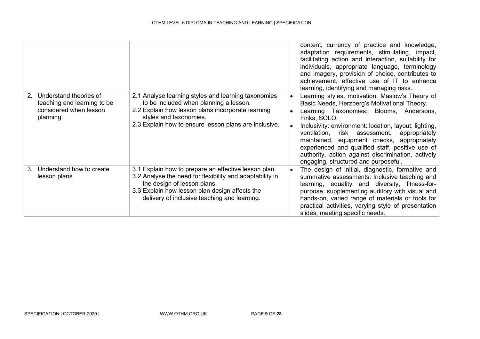|                                                                                                                |                                                                                                                                                                                                                                                   | content, currency of practice and knowledge,<br>adaptation requirements, stimulating, impact,<br>facilitating action and interaction, suitability for<br>individuals, appropriate language, terminology<br>and imagery, provision of choice, contributes to<br>achievement, effective use of IT to enhance<br>learning, identifying and managing risks                                                                                                                              |
|----------------------------------------------------------------------------------------------------------------|---------------------------------------------------------------------------------------------------------------------------------------------------------------------------------------------------------------------------------------------------|-------------------------------------------------------------------------------------------------------------------------------------------------------------------------------------------------------------------------------------------------------------------------------------------------------------------------------------------------------------------------------------------------------------------------------------------------------------------------------------|
| Understand theories of<br>2 <sup>1</sup><br>teaching and learning to be<br>considered when lesson<br>planning. | 2.1 Analyse learning styles and learning taxonomies<br>to be included when planning a lesson.<br>2.2 Explain how lesson plans incorporate learning<br>styles and taxonomies.<br>2.3 Explain how to ensure lesson plans are inclusive.             | Learning styles, motivation, Maslow's Theory of<br>$\bullet$<br>Basic Needs, Herzberg's Motivational Theory.<br>Learning Taxonomies: Blooms, Andersons,<br>Finks, SOLO.<br>Inclusivity: environment: location, layout, lighting,<br>ventilation, risk assessment,<br>appropriately<br>maintained, equipment checks, appropriately<br>experienced and qualified staff, positive use of<br>authority, action against discrimination, actively<br>engaging, structured and purposeful. |
| Understand how to create<br>3.<br>lesson plans.                                                                | 3.1 Explain how to prepare an effective lesson plan.<br>3.2 Analyse the need for flexibility and adaptability in<br>the design of lesson plans.<br>3.3 Explain how lesson plan design affects the<br>delivery of inclusive teaching and learning. | The design of initial, diagnostic, formative and<br>summative assessments. Inclusive teaching and<br>learning, equality and diversity, fitness-for-<br>purpose, supplementing auditory with visual and<br>hands-on, varied range of materials or tools for<br>practical activities, varying style of presentation<br>slides, meeting specific needs.                                                                                                                                |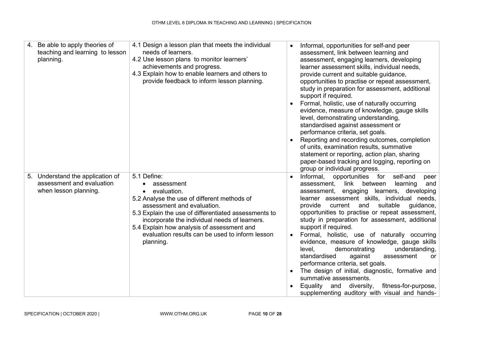| 4. | Be able to apply theories of<br>teaching and learning to lesson<br>planning.           | 4.1 Design a lesson plan that meets the individual<br>needs of learners.<br>4.2 Use lesson plans to monitor learners'<br>achievements and progress.<br>4.3 Explain how to enable learners and others to<br>provide feedback to inform lesson planning.                                                                                       | $\bullet$                           | Informal, opportunities for self-and peer<br>assessment, link between learning and<br>assessment, engaging learners, developing<br>learner assessment skills, individual needs,<br>provide current and suitable guidance,<br>opportunities to practise or repeat assessment,<br>study in preparation for assessment, additional<br>support if required.<br>Formal, holistic, use of naturally occurring<br>evidence, measure of knowledge, gauge skills<br>level, demonstrating understanding,<br>standardised against assessment or<br>performance criteria, set goals.<br>Reporting and recording outcomes, completion<br>of units, examination results, summative<br>statement or reporting, action plan, sharing<br>paper-based tracking and logging, reporting on<br>group or individual progress. |
|----|----------------------------------------------------------------------------------------|----------------------------------------------------------------------------------------------------------------------------------------------------------------------------------------------------------------------------------------------------------------------------------------------------------------------------------------------|-------------------------------------|---------------------------------------------------------------------------------------------------------------------------------------------------------------------------------------------------------------------------------------------------------------------------------------------------------------------------------------------------------------------------------------------------------------------------------------------------------------------------------------------------------------------------------------------------------------------------------------------------------------------------------------------------------------------------------------------------------------------------------------------------------------------------------------------------------|
|    | 5. Understand the application of<br>assessment and evaluation<br>when lesson planning. | 5.1 Define:<br>assessment<br>evaluation.<br>5.2 Analyse the use of different methods of<br>assessment and evaluation.<br>5.3 Explain the use of differentiated assessments to<br>incorporate the individual needs of learners.<br>5.4 Explain how analysis of assessment and<br>evaluation results can be used to inform lesson<br>planning. | $\bullet$<br>$\bullet$<br>$\bullet$ | Informal,<br>opportunities for self-and<br>peer<br>link<br>between<br>learning<br>assessment,<br>and<br>assessment, engaging learners, developing<br>learner assessment skills, individual needs,<br>suitable<br>provide<br>current<br>and<br>guidance,<br>opportunities to practise or repeat assessment,<br>study in preparation for assessment, additional<br>support if required.<br>Formal, holistic, use of naturally occurring<br>evidence, measure of knowledge, gauge skills<br>demonstrating<br>level,<br>understanding,<br>standardised<br>against<br>assessment<br>or.<br>performance criteria, set goals.<br>The design of initial, diagnostic, formative and<br>summative assessments.<br>Equality and diversity, fitness-for-purpose,<br>supplementing auditory with visual and hands-   |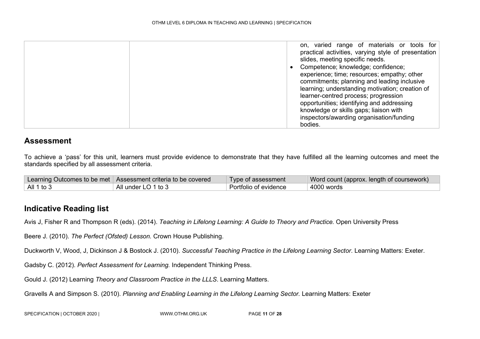| learner-centred process; progression<br>opportunities; identifying and addressing<br>knowledge or skills gaps; liaison with<br>inspectors/awarding organisation/funding |  | on, varied range of materials or tools for<br>practical activities, varying style of presentation<br>slides, meeting specific needs.<br>Competence; knowledge; confidence;<br>experience; time; resources; empathy; other |
|-------------------------------------------------------------------------------------------------------------------------------------------------------------------------|--|---------------------------------------------------------------------------------------------------------------------------------------------------------------------------------------------------------------------------|
| bodies.                                                                                                                                                                 |  | commitments; planning and leading inclusive<br>learning; understanding motivation; creation of                                                                                                                            |

To achieve a 'pass' for this unit, learners must provide evidence to demonstrate that they have fulfilled all the learning outcomes and meet the standards specified by all assessment criteria.

|                    | Learning Outcomes to be met   Assessment criteria to be covered | Type of assessment    | Word count (approx. length of coursework) |
|--------------------|-----------------------------------------------------------------|-----------------------|-------------------------------------------|
| $\vert$ All 1 to 3 | All under LO 1 to 3                                             | Portfolio of evidence | 4000 words                                |

### **Indicative Reading list**

Avis J, Fisher R and Thompson R (eds). (2014). *Teaching in Lifelong Learning: A Guide to Theory and Practice.* Open University Press

Beere J. (2010). *The Perfect (Ofsted) Lesson.* Crown House Publishing.

Duckworth V, Wood, J, Dickinson J & Bostock J. (2010). *Successful Teaching Practice in the Lifelong Learning Sector*. Learning Matters: Exeter.

Gadsby C. (2012). *Perfect Assessment for Learning.* Independent Thinking Press.

Gould J. (2012) Learning *Theory and Classroom Practice in the LLLS*. Learning Matters.

Gravells A and Simpson S. (2010). *Planning and Enabling Learning in the Lifelong Learning Sector.* Learning Matters: Exeter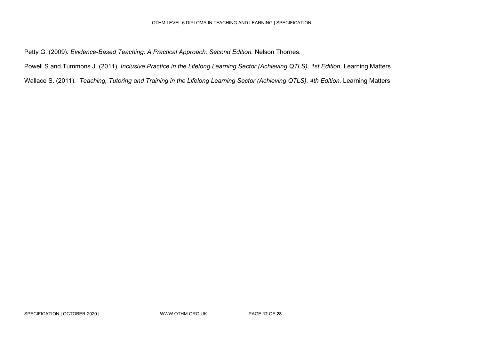#### OTHM LEVEL 6 DIPLOMA IN TEACHING AND LEARNING | SPECIFICATION

Petty G. (2009). *Evidence-Based Teaching: A Practical Approach, Second Edition.* Nelson Thornes.

Powell S and Tummons J. (2011). *Inclusive Practice in the Lifelong Learning Sector (Achieving QTLS), 1st Edition.* Learning Matters.

<span id="page-11-0"></span>Wallace S. (2011). *Teaching, Tutoring and Training in the Lifelong Learning Sector (Achieving QTLS), 4th Edition.* Learning Matters.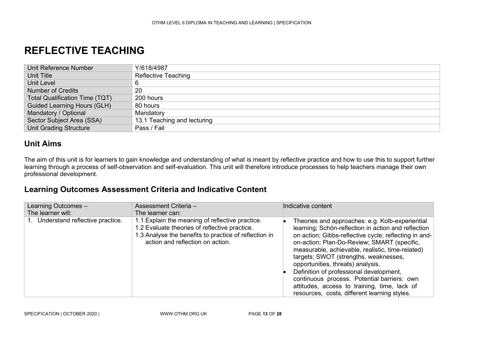### **REFLECTIVE TEACHING**

| Unit Reference Number                 | Y/618/4987                  |
|---------------------------------------|-----------------------------|
| Unit Title                            | <b>Reflective Teaching</b>  |
| Unit Level                            | 6                           |
| Number of Credits                     | 20                          |
| <b>Total Qualification Time (TQT)</b> | 200 hours                   |
| <b>Guided Learning Hours (GLH)</b>    | 80 hours                    |
| Mandatory / Optional                  | Mandatory                   |
| Sector Subject Area (SSA)             | 13.1 Teaching and lecturing |
| <b>Unit Grading Structure</b>         | Pass / Fail                 |

#### **Unit Aims**

The aim of this unit is for learners to gain knowledge and understanding of what is meant by reflective practice and how to use this to support further learning through a process of self-observation and self-evaluation. This unit will therefore introduce processes to help teachers manage their own professional development.

### **Learning Outcomes Assessment Criteria and Indicative Content**

| Learning Outcomes -<br>The learner will: | Assessment Criteria -<br>The learner can:                                                                                                                                                     | Indicative content                                                                                                                                                                                                                                                                                                                                                                                                                                                                                                                         |
|------------------------------------------|-----------------------------------------------------------------------------------------------------------------------------------------------------------------------------------------------|--------------------------------------------------------------------------------------------------------------------------------------------------------------------------------------------------------------------------------------------------------------------------------------------------------------------------------------------------------------------------------------------------------------------------------------------------------------------------------------------------------------------------------------------|
| Understand reflective practice.          | 1.1 Explain the meaning of reflective practice.<br>1.2 Evaluate theories of reflective practice.<br>1.3 Analyse the benefits to practice of reflection in<br>action and reflection on action. | Theories and approaches: e.g. Kolb-experiential<br>learning; Schön-reflection in action and reflection<br>on action; Gibbs-reflective cycle; reflecting in and-<br>on-action; Plan-Do-Review; SMART (specific,<br>measurable, achievable, realistic, time-related)<br>targets; SWOT (strengths, weaknesses,<br>opportunities, threats) analysis.<br>Definition of professional development,<br>continuous process. Potential barriers: own<br>attitudes, access to training, time, lack of<br>resources, costs, different learning styles. |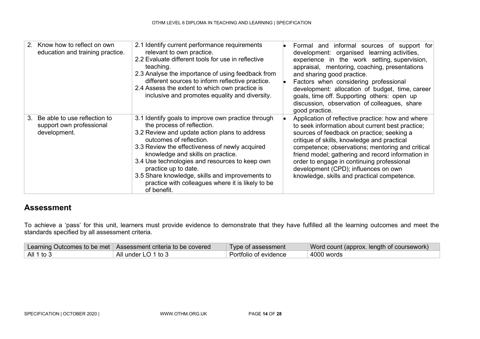| Know how to reflect on own<br>2 <sub>1</sub><br>education and training practice. | 2.1 Identify current performance requirements<br>relevant to own practice.<br>2.2 Evaluate different tools for use in reflective<br>teaching.<br>2.3 Analyse the importance of using feedback from<br>different sources to inform reflective practice.<br>2.4 Assess the extent to which own practice is<br>inclusive and promotes equality and diversity.                                                                                           | Formal and informal sources of support for<br>development: organised learning activities,<br>experience in the work setting, supervision,<br>appraisal, mentoring, coaching, presentations<br>and sharing good practice.<br>Factors when considering professional<br>development: allocation of budget, time, career<br>goals, time off. Supporting others: open up<br>discussion, observation of colleagues, share<br>good practice.            |
|----------------------------------------------------------------------------------|------------------------------------------------------------------------------------------------------------------------------------------------------------------------------------------------------------------------------------------------------------------------------------------------------------------------------------------------------------------------------------------------------------------------------------------------------|--------------------------------------------------------------------------------------------------------------------------------------------------------------------------------------------------------------------------------------------------------------------------------------------------------------------------------------------------------------------------------------------------------------------------------------------------|
| Be able to use reflection to<br>3.<br>support own professional<br>development.   | 3.1 Identify goals to improve own practice through<br>the process of reflection.<br>3.2 Review and update action plans to address<br>outcomes of reflection.<br>3.3 Review the effectiveness of newly acquired<br>knowledge and skills on practice.<br>3.4 Use technologies and resources to keep own<br>practice up to date.<br>3.5 Share knowledge, skills and improvements to<br>practice with colleagues where it is likely to be<br>of benefit. | Application of reflective practice: how and where<br>to seek information about current best practice;<br>sources of feedback on practice; seeking a<br>critique of skills, knowledge and practical<br>competence; observations; mentoring and critical<br>friend model; gathering and record information in<br>order to engage in continuing professional<br>development (CPD); influences on own<br>knowledge, skills and practical competence. |

To achieve a 'pass' for this unit, learners must provide evidence to demonstrate that they have fulfilled all the learning outcomes and meet the standards specified by all assessment criteria.

|              | Learning Outcomes to be met   Assessment criteria to be covered | Type of assessment    | Word count (approx. length of coursework) |
|--------------|-----------------------------------------------------------------|-----------------------|-------------------------------------------|
| All 1 to $3$ | All under LO 1 to 3                                             | Portfolio of evidence | 4000 words                                |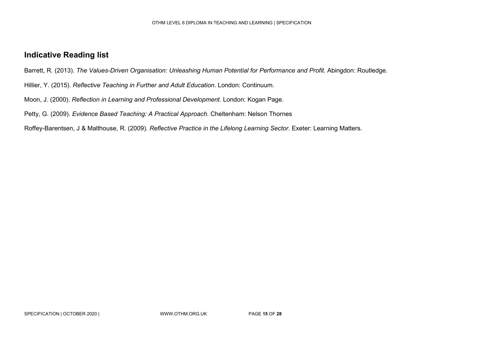### **Indicative Reading list**

Barrett, R. (2013). *The Values-Driven Organisation: Unleashing Human Potential for Performance and Profit.* Abingdon: Routledge.

Hillier, Y. (2015). *Reflective Teaching in Further and Adult Education*. London: Continuum.

Moon, J. (2000). *Reflection in Learning and Professional Development*. London: Kogan Page.

Petty, G. (2009). *Evidence Based Teaching: A Practical Approach*. Cheltenham: Nelson Thornes

Roffey-Barentsen, J & Malthouse, R. (2009). *Reflective Practice in the Lifelong Learning Sector*. Exeter: Learning Matters.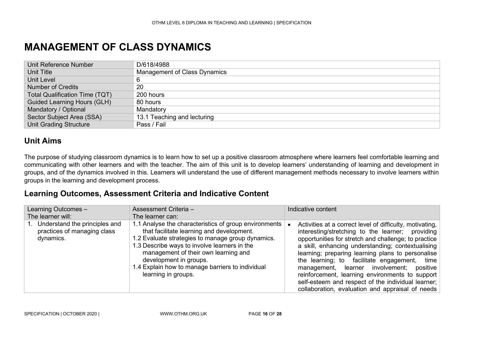### **MANAGEMENT OF CLASS DYNAMICS**

| Unit Reference Number                 | D/618/4988                          |
|---------------------------------------|-------------------------------------|
| Unit Title                            | <b>Management of Class Dynamics</b> |
| <b>Unit Level</b>                     | 6                                   |
| <b>Number of Credits</b>              | 20                                  |
| <b>Total Qualification Time (TQT)</b> | 200 hours                           |
| <b>Guided Learning Hours (GLH)</b>    | 80 hours                            |
| Mandatory / Optional                  | Mandatory                           |
| Sector Subject Area (SSA)             | 13.1 Teaching and lecturing         |
| <b>Unit Grading Structure</b>         | Pass / Fail                         |

### **Unit Aims**

The purpose of studying classroom dynamics is to learn how to set up a positive classroom atmosphere where learners feel comfortable learning and communicating with other learners and with the teacher. The aim of this unit is to develop learners' understanding of learning and development in groups, and of the dynamics involved in this. Learners will understand the use of different management methods necessary to involve learners within groups in the learning and development process.

### <span id="page-15-0"></span>**Learning Outcomes, Assessment Criteria and Indicative Content**

| Learning Outcomes -<br>The learner will:                                  | Assessment Criteria -<br>The learner can:                                                                                                                                                                                                                                                                                                            | Indicative content                                                                                                                                                                                                                                                                                                                                                                                                                                                                                                                       |  |
|---------------------------------------------------------------------------|------------------------------------------------------------------------------------------------------------------------------------------------------------------------------------------------------------------------------------------------------------------------------------------------------------------------------------------------------|------------------------------------------------------------------------------------------------------------------------------------------------------------------------------------------------------------------------------------------------------------------------------------------------------------------------------------------------------------------------------------------------------------------------------------------------------------------------------------------------------------------------------------------|--|
| Understand the principles and<br>practices of managing class<br>dynamics. | 1.1 Analyse the characteristics of group environments<br>that facilitate learning and development.<br>1.2 Evaluate strategies to manage group dynamics.<br>1.3 Describe ways to involve learners in the<br>management of their own learning and<br>development in groups.<br>1.4 Explain how to manage barriers to individual<br>learning in groups. | Activities at a correct level of difficulty, motivating,<br>interesting/stretching to the learner; providing<br>opportunities for stretch and challenge; to practice<br>a skill, enhancing understanding; contextualising<br>learning; preparing learning plans to personalise<br>the learning; to facilitate engagement, time<br>management, learner involvement; positive<br>reinforcement, learning environments to support<br>self-esteem and respect of the individual learner;<br>collaboration, evaluation and appraisal of needs |  |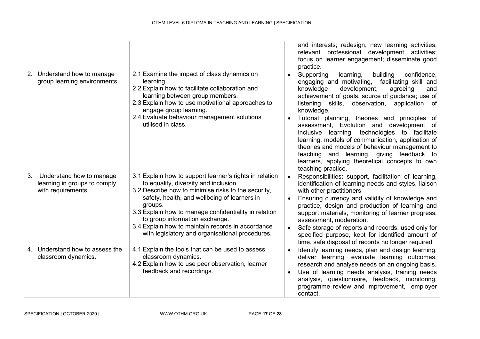|                                                                                      |                                                                                                                                                                                                                                                                                                                                                                                                                       |           | and interests; redesign, new learning activities;<br>relevant professional development activities;<br>focus on learner engagement; disseminate good<br>practice.                                                                                                                                                                                                                                                                                                                                                                                                                                                                                             |
|--------------------------------------------------------------------------------------|-----------------------------------------------------------------------------------------------------------------------------------------------------------------------------------------------------------------------------------------------------------------------------------------------------------------------------------------------------------------------------------------------------------------------|-----------|--------------------------------------------------------------------------------------------------------------------------------------------------------------------------------------------------------------------------------------------------------------------------------------------------------------------------------------------------------------------------------------------------------------------------------------------------------------------------------------------------------------------------------------------------------------------------------------------------------------------------------------------------------------|
| 2. Understand how to manage<br>group learning environments.                          | 2.1 Examine the impact of class dynamics on<br>learning.<br>2.2 Explain how to facilitate collaboration and<br>learning between group members.<br>2.3 Explain how to use motivational approaches to<br>engage group learning.<br>2.4 Evaluate behaviour management solutions<br>utilised in class.                                                                                                                    |           | Supporting<br>building<br>confidence,<br>learning,<br>engaging and motivating,<br>facilitating skill and<br>knowledge<br>development,<br>agreeing<br>and<br>achievement of goals, source of guidance; use of<br>listening<br>skills,<br>observation, application of<br>knowledge.<br>Tutorial planning, theories and principles of<br>assessment, Evolution and development of<br>inclusive learning, technologies to facilitate<br>learning, models of communication, application of<br>theories and models of behaviour management to<br>teaching and learning, giving feedback to<br>learners, applying theoretical concepts to own<br>teaching practice. |
| Understand how to manage<br>3.<br>learning in groups to comply<br>with requirements. | 3.1 Explain how to support learner's rights in relation<br>to equality, diversity and inclusion.<br>3.2 Describe how to minimise risks to the security,<br>safety, health, and wellbeing of learners in<br>groups.<br>3.3 Explain how to manage confidentiality in relation<br>to group information exchange.<br>3.4 Explain how to maintain records in accordance<br>with legislatory and organisational procedures. |           | Responsibilities: support, facilitation of learning,<br>identification of learning needs and styles, liaison<br>with other practitioners<br>Ensuring currency and validity of knowledge and<br>practice, design and production of learning and<br>support materials, monitoring of learner progress,<br>assessment, moderation.<br>Safe storage of reports and records, used only for<br>specified purpose, kept for identified amount of<br>time, safe disposal of records no longer required                                                                                                                                                               |
| 4. Understand how to assess the<br>classroom dynamics.                               | 4.1 Explain the tools that can be used to assess<br>classroom dynamics.<br>4.2 Explain how to use peer observation, learner<br>feedback and recordings.                                                                                                                                                                                                                                                               | $\bullet$ | Identify learning needs, plan and design learning,<br>deliver learning, evaluate learning outcomes,<br>research and analyse needs on an ongoing basis.<br>Use of learning needs analysis, training needs<br>analysis, questionnaire, feedback, monitoring,<br>programme review and improvement,<br>employer<br>contact.                                                                                                                                                                                                                                                                                                                                      |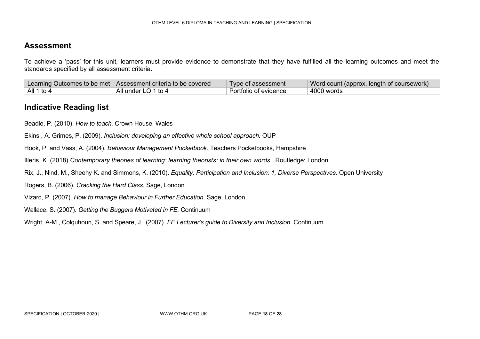To achieve a 'pass' for this unit, learners must provide evidence to demonstrate that they have fulfilled all the learning outcomes and meet the standards specified by all assessment criteria.

|            | Learning Outcomes to be met Assessment criteria to be covered | Type of assessment    | Word count (approx. length of coursework) |
|------------|---------------------------------------------------------------|-----------------------|-------------------------------------------|
| All 1 to 4 | All under LO 1 to 4                                           | Portfolio of evidence | 4000 words                                |

#### **Indicative Reading list**

Beadle, P. (2010). *How to teach.* Crown House, Wales

Ekins , A. Grimes, P. (2009). *Inclusion: developing an effective whole school approach.* OUP

Hook, P. and Vass, A. (2004). *Behaviour Management Pocketbook.* Teachers Pocketbooks, Hampshire

Illeris, K. (2018) *Contemporary theories of learning: learning theorists: in their own words.* Routledge: London.

Rix, J., Nind, M., Sheehy K. and Simmons, K. (2010). *Equality, Participation and Inclusion: 1, Diverse Perspectives.* Open University

Rogers, B. (2006). *Cracking the Hard Class.* Sage, London

Vizard, P. (2007). *How to manage Behaviour in Further Education.* Sage, London

Wallace, S. (2007). *Getting the Buggers Motivated in FE.* Continuum

Wright, A-M., Colquhoun, S. and Speare, J. (2007). *FE Lecturer's guide to Diversity and Inclusion.* Continuum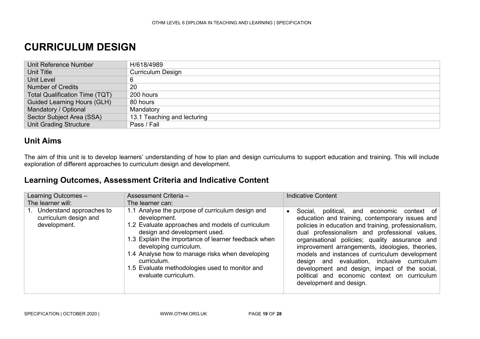### **CURRICULUM DESIGN**

| Unit Reference Number              | H/618/4989                  |
|------------------------------------|-----------------------------|
| Unit Title                         | <b>Curriculum Design</b>    |
| Unit Level                         |                             |
| <b>Number of Credits</b>           | 20                          |
| Total Qualification Time (TQT)     | $200$ hours                 |
| <b>Guided Learning Hours (GLH)</b> | 80 hours                    |
| Mandatory / Optional               | Mandatory                   |
| Sector Subject Area (SSA)          | 13.1 Teaching and lecturing |
| <b>Unit Grading Structure</b>      | Pass / Fail                 |

### **Unit Aims**

The aim of this unit is to develop learners' understanding of how to plan and design curriculums to support education and training. This will include exploration of different approaches to curriculum design and development.

#### <span id="page-18-0"></span>**Learning Outcomes, Assessment Criteria and Indicative Content**

| Learning Outcomes -<br>The learner will:                          | Assessment Criteria -<br>The learner can:                                                                                                                                                                                                                                                                                                                                         | Indicative Content                                                                                                                                                                                                                                                                                                                                                                                                                                                                                                                                       |
|-------------------------------------------------------------------|-----------------------------------------------------------------------------------------------------------------------------------------------------------------------------------------------------------------------------------------------------------------------------------------------------------------------------------------------------------------------------------|----------------------------------------------------------------------------------------------------------------------------------------------------------------------------------------------------------------------------------------------------------------------------------------------------------------------------------------------------------------------------------------------------------------------------------------------------------------------------------------------------------------------------------------------------------|
| Understand approaches to<br>curriculum design and<br>development. | 1.1 Analyse the purpose of curriculum design and<br>development.<br>1.2 Evaluate approaches and models of curriculum<br>design and development used.<br>1.3 Explain the importance of learner feedback when<br>developing curriculum.<br>1.4 Analyse how to manage risks when developing<br>curriculum.<br>1.5 Evaluate methodologies used to monitor and<br>evaluate curriculum. | Social,<br>political, and economic context of<br>$\bullet$<br>education and training, contemporary issues and<br>policies in education and training, professionalism,<br>dual professionalism and professional values,<br>organisational policies; quality assurance and<br>improvement arrangements, ideologies, theories,<br>models and instances of curriculum development<br>design and evaluation, inclusive curriculum<br>development and design, impact of the social,<br>political and economic context on curriculum<br>development and design. |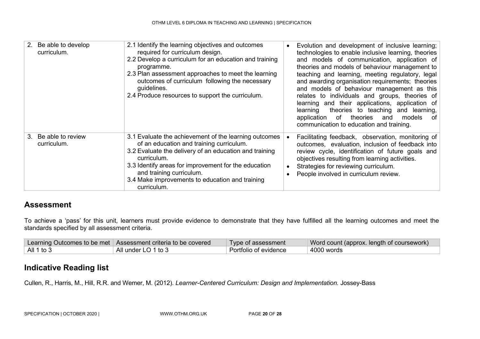| 2. Be able to develop<br>curriculum.   | 2.1 Identify the learning objectives and outcomes<br>required for curriculum design.<br>2.2 Develop a curriculum for an education and training<br>programme.<br>2.3 Plan assessment approaches to meet the learning<br>outcomes of curriculum following the necessary<br>guidelines.<br>2.4 Produce resources to support the curriculum. | $\bullet$              | Evolution and development of inclusive learning;<br>technologies to enable inclusive learning, theories<br>and models of communication, application of<br>theories and models of behaviour management to<br>teaching and learning, meeting regulatory, legal<br>and awarding organisation requirements; theories<br>and models of behaviour management as this<br>relates to individuals and groups, theories of<br>learning and their applications, application of<br>theories to teaching and learning,<br>learning<br>of theories<br>models<br>and<br>application<br>of ∣<br>communication to education and training. |
|----------------------------------------|------------------------------------------------------------------------------------------------------------------------------------------------------------------------------------------------------------------------------------------------------------------------------------------------------------------------------------------|------------------------|--------------------------------------------------------------------------------------------------------------------------------------------------------------------------------------------------------------------------------------------------------------------------------------------------------------------------------------------------------------------------------------------------------------------------------------------------------------------------------------------------------------------------------------------------------------------------------------------------------------------------|
| Be able to review<br>3.<br>curriculum. | 3.1 Evaluate the achievement of the learning outcomes<br>of an education and training curriculum.<br>3.2 Evaluate the delivery of an education and training<br>curriculum.<br>3.3 Identify areas for improvement for the education<br>and training curriculum.<br>3.4 Make improvements to education and training<br>curriculum.         | $\bullet$<br>$\bullet$ | Facilitating feedback, observation, monitoring of<br>outcomes, evaluation, inclusion of feedback into<br>review cycle, identification of future goals and<br>objectives resulting from learning activities.<br>Strategies for reviewing curriculum.<br>People involved in curriculum review.                                                                                                                                                                                                                                                                                                                             |

To achieve a 'pass' for this unit, learners must provide evidence to demonstrate that they have fulfilled all the learning outcomes and meet the standards specified by all assessment criteria.

|                    | Learning Outcomes to be met   Assessment criteria to be covered | Type of assessment    | Word count (approx. length of coursework) / |
|--------------------|-----------------------------------------------------------------|-----------------------|---------------------------------------------|
| $\vert$ All 1 to 3 | All under LO 1 to 3                                             | Portfolio of evidence | 4000 words                                  |

### **Indicative Reading list**

Cullen, R., Harris, M., Hill, R.R. and Wemer, M. (2012). *Learner-Centered Curriculum: Design and Implementation.* Jossey-Bass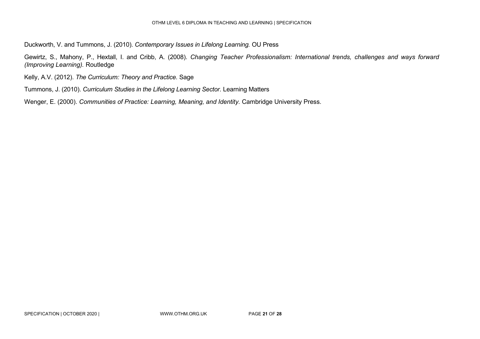Duckworth, V. and Tummons, J. (2010). *Contemporary Issues in Lifelong Learning.* OU Press

Gewirtz, S., Mahony, P., Hextall, I. and Cribb, A. (2008). *Changing Teacher Professionalism: International trends, challenges and ways forward (Improving Learning).* Routledge

Kelly, A.V. (2012). *The Curriculum: Theory and Practice.* Sage

Tummons, J. (2010). *Curriculum Studies in the Lifelong Learning Sector.* Learning Matters

Wenger, E. (2000). *Communities of Practice: Learning, Meaning, and Identity.* Cambridge University Press.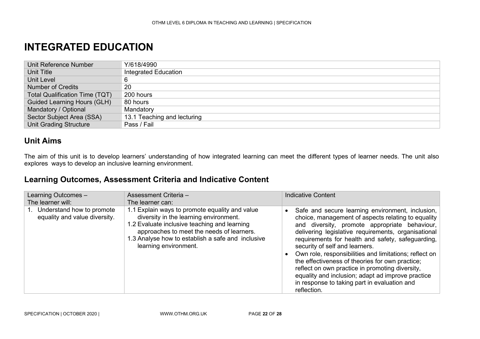### **INTEGRATED EDUCATION**

| Unit Reference Number                 | Y/618/4990                  |
|---------------------------------------|-----------------------------|
| Unit Title                            | Integrated Education        |
| Unit Level                            | 6                           |
| <b>Number of Credits</b>              | 20                          |
| <b>Total Qualification Time (TQT)</b> | 200 hours                   |
| <b>Guided Learning Hours (GLH)</b>    | 80 hours                    |
| Mandatory / Optional                  | Mandatory                   |
| Sector Subject Area (SSA)             | 13.1 Teaching and lecturing |
| <b>Unit Grading Structure</b>         | Pass / Fail                 |

### **Unit Aims**

The aim of this unit is to develop learners' understanding of how integrated learning can meet the different types of learner needs. The unit also explores ways to develop an inclusive learning environment.

### <span id="page-21-0"></span>**Learning Outcomes, Assessment Criteria and Indicative Content**

| Learning Outcomes -                                        | Assessment Criteria -                                                                                                                                                                                                                                               | <b>Indicative Content</b>                                                                                                                                                                                                                                                                                                                                                                                                                                                                                                                                                                 |
|------------------------------------------------------------|---------------------------------------------------------------------------------------------------------------------------------------------------------------------------------------------------------------------------------------------------------------------|-------------------------------------------------------------------------------------------------------------------------------------------------------------------------------------------------------------------------------------------------------------------------------------------------------------------------------------------------------------------------------------------------------------------------------------------------------------------------------------------------------------------------------------------------------------------------------------------|
| The learner will:                                          | The learner can:                                                                                                                                                                                                                                                    |                                                                                                                                                                                                                                                                                                                                                                                                                                                                                                                                                                                           |
| Understand how to promote<br>equality and value diversity. | 1.1 Explain ways to promote equality and value<br>diversity in the learning environment.<br>1.2 Evaluate inclusive teaching and learning<br>approaches to meet the needs of learners.<br>1.3 Analyse how to establish a safe and inclusive<br>learning environment. | Safe and secure learning environment, inclusion,<br>choice, management of aspects relating to equality<br>and diversity, promote appropriate behaviour,<br>delivering legislative requirements, organisational<br>requirements for health and safety, safeguarding,<br>security of self and learners.<br>Own role, responsibilities and limitations; reflect on<br>the effectiveness of theories for own practice;<br>reflect on own practice in promoting diversity,<br>equality and inclusion; adapt ad improve practice<br>in response to taking part in evaluation and<br>reflection. |

SPECIFICATION | OCTOBER 2020 | WWW.OTHM.ORG.UK PAGE **22** OF **28**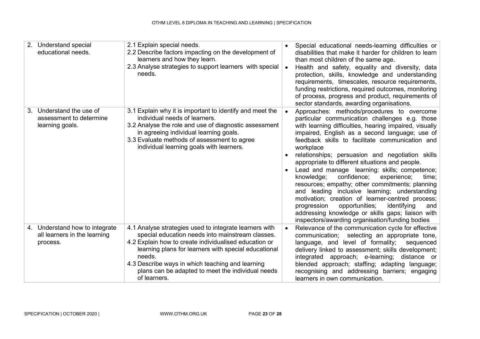| 2. Understand special<br>educational needs.                                | 2.1 Explain special needs.<br>2.2 Describe factors impacting on the development of<br>learners and how they learn.<br>2.3 Analyse strategies to support learners with special<br>needs.                                                                                                                                                                        | Special educational needs-learning difficulties or<br>disabilities that make it harder for children to learn<br>than most children of the same age.<br>Health and safety, equality and diversity, data<br>protection, skills, knowledge and understanding<br>requirements, timescales, resource requirements,<br>funding restrictions, required outcomes, monitoring<br>of process, progress and product, requirements of<br>sector standards, awarding organisations.                                                                                                                                                                                                                                                                                                                                       |
|----------------------------------------------------------------------------|----------------------------------------------------------------------------------------------------------------------------------------------------------------------------------------------------------------------------------------------------------------------------------------------------------------------------------------------------------------|--------------------------------------------------------------------------------------------------------------------------------------------------------------------------------------------------------------------------------------------------------------------------------------------------------------------------------------------------------------------------------------------------------------------------------------------------------------------------------------------------------------------------------------------------------------------------------------------------------------------------------------------------------------------------------------------------------------------------------------------------------------------------------------------------------------|
| 3. Understand the use of<br>assessment to determine<br>learning goals.     | 3.1 Explain why it is important to identify and meet the<br>individual needs of learners.<br>3.2 Analyse the role and use of diagnostic assessment<br>in agreeing individual learning goals.<br>3.3 Evaluate methods of assessment to agree<br>individual learning goals with learners.                                                                        | Approaches: methods/procedures to overcome<br>particular communication challenges e.g. those<br>with learning difficulties, hearing impaired, visually<br>impaired, English as a second language; use of<br>feedback skills to facilitate communication and<br>workplace<br>relationships; persuasion and negotiation skills<br>appropriate to different situations and people.<br>Lead and manage learning: skills; competence;<br>confidence;<br>knowledge;<br>experience;<br>time:<br>resources; empathy; other commitments; planning<br>and leading inclusive learning; understanding<br>motivation; creation of learner-centred process;<br>opportunities;<br>identifying<br>progression<br>and<br>addressing knowledge or skills gaps; liaison with<br>inspectors/awarding organisation/funding bodies |
| 4. Understand how to integrate<br>all learners in the learning<br>process. | 4.1 Analyse strategies used to integrate learners with<br>special education needs into mainstream classes.<br>4.2 Explain how to create individualised education or<br>learning plans for learners with special educational<br>needs.<br>4.3 Describe ways in which teaching and learning<br>plans can be adapted to meet the individual needs<br>of learners. | Relevance of the communication cycle for effective<br>communication; selecting an appropriate tone,<br>language, and level of formality;<br>sequenced<br>delivery linked to assessment; skills development;<br>integrated approach; e-learning; distance or<br>blended approach; staffing; adapting language;<br>recognising and addressing barriers; engaging<br>learners in own communication.                                                                                                                                                                                                                                                                                                                                                                                                             |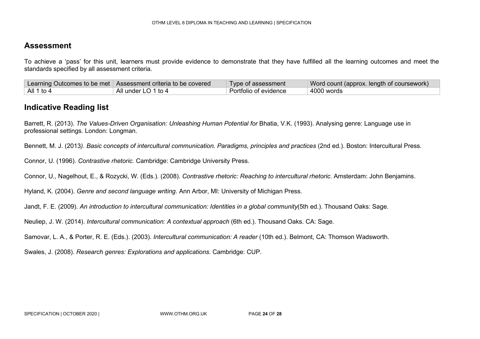To achieve a 'pass' for this unit, learners must provide evidence to demonstrate that they have fulfilled all the learning outcomes and meet the standards specified by all assessment criteria.

|            | Learning Outcomes to be met   Assessment criteria to be covered | Type of assessment    | Word count (approx. length of coursework) |
|------------|-----------------------------------------------------------------|-----------------------|-------------------------------------------|
| All 1 to 4 | All under LO 1 to 4                                             | Portfolio of evidence | 4000 words                                |

### **Indicative Reading list**

Barrett, R. (2013). *The Values-Driven Organisation: Unleashing Human Potential for Bhatia, V.K.* (1993). Analysing genre: Language use in professional settings. London: Longman.

Bennett, M. J. (2013*). Basic concepts of intercultural communication. Paradigms, principles and practices* (2nd ed.). Boston: Intercultural Press.

Connor, U. (1996). *Contrastive rhetoric.* Cambridge: Cambridge University Press.

Connor, U., Nagelhout, E., & Rozycki, W. (Eds.). (2008). *Contrastive rhetoric: Reaching to intercultural rhetoric*. Amsterdam: John Benjamins.

Hyland, K. (2004). *Genre and second language writing*. Ann Arbor, MI: University of Michigan Press.

Jandt, F. E. (2009). *An introduction to intercultural communication: Identities in a global community*(5th ed.). Thousand Oaks: Sage.

Neuliep, J. W. (2014). *Intercultural communication: A contextual approach* (6th ed.). Thousand Oaks. CA: Sage.

Samovar, L. A., & Porter, R. E. (Eds.). (2003). *Intercultural communication: A reader* (10th ed.). Belmont, CA: Thomson Wadsworth.

Swales, J. (2008). *Research genres: Explorations and applications*. Cambridge: CUP.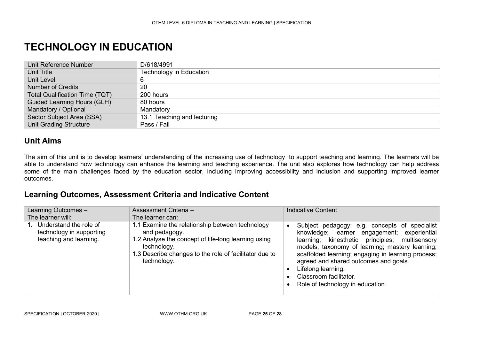### **TECHNOLOGY IN EDUCATION**

| Unit Reference Number                 | D/618/4991                     |
|---------------------------------------|--------------------------------|
| <b>Unit Title</b>                     | <b>Technology in Education</b> |
| Unit Level                            |                                |
| <b>Number of Credits</b>              | 20                             |
| <b>Total Qualification Time (TQT)</b> | 200 hours                      |
| <b>Guided Learning Hours (GLH)</b>    | 80 hours                       |
| Mandatory / Optional                  | Mandatory                      |
| Sector Subject Area (SSA)             | 13.1 Teaching and lecturing    |
| <b>Unit Grading Structure</b>         | Pass / Fail                    |

#### **Unit Aims**

The aim of this unit is to develop learners' understanding of the increasing use of technology to support teaching and learning. The learners will be able to understand how technology can enhance the learning and teaching experience. The unit also explores how technology can help address some of the main challenges faced by the education sector, including improving accessibility and inclusion and supporting improved learner outcomes.

### <span id="page-24-0"></span>**Learning Outcomes, Assessment Criteria and Indicative Content**

| Learning Outcomes -<br>The learner will:                                     | Assessment Criteria -<br>The learner can:                                                                                                                                                                       | <b>Indicative Content</b>                                                                                                                                                                                                                                                                                                                                                            |
|------------------------------------------------------------------------------|-----------------------------------------------------------------------------------------------------------------------------------------------------------------------------------------------------------------|--------------------------------------------------------------------------------------------------------------------------------------------------------------------------------------------------------------------------------------------------------------------------------------------------------------------------------------------------------------------------------------|
| Understand the role of<br>technology in supporting<br>teaching and learning. | 1.1 Examine the relationship between technology<br>and pedagogy.<br>1.2 Analyse the concept of life-long learning using<br>technology.<br>1.3 Describe changes to the role of facilitator due to<br>technology. | Subject pedagogy: e.g. concepts of specialist<br>knowledge; learner engagement; experiential<br>learning; kinesthetic principles; multisensory<br>models; taxonomy of learning; mastery learning;<br>scaffolded learning; engaging in learning process;<br>agreed and shared outcomes and goals.<br>Lifelong learning.<br>Classroom facilitator.<br>Role of technology in education. |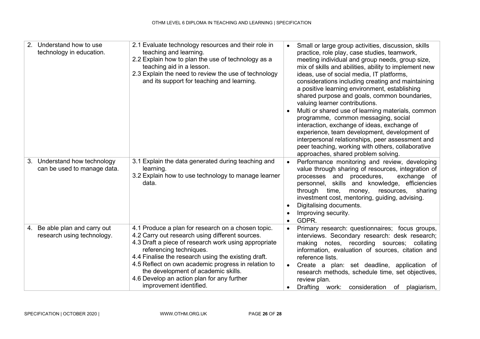| 2 <sub>1</sub> | Understand how to use<br>technology in education.           | 2.1 Evaluate technology resources and their role in<br>teaching and learning.<br>2.2 Explain how to plan the use of technology as a<br>teaching aid in a lesson.<br>2.3 Explain the need to review the use of technology<br>and its support for teaching and learning.                                                                                                                                                 |                        | Small or large group activities, discussion, skills<br>practice, role play, case studies, teamwork,<br>meeting individual and group needs, group size,<br>mix of skills and abilities, ability to implement new<br>ideas, use of social media, IT platforms,<br>considerations including creating and maintaining<br>a positive learning environment, establishing<br>shared purpose and goals, common boundaries,<br>valuing learner contributions.<br>Multi or shared use of learning materials, common<br>programme, common messaging, social<br>interaction, exchange of ideas, exchange of<br>experience, team development, development of<br>interpersonal relationships, peer assessment and<br>peer teaching, working with others, collaborative<br>approaches, shared problem solving. |
|----------------|-------------------------------------------------------------|------------------------------------------------------------------------------------------------------------------------------------------------------------------------------------------------------------------------------------------------------------------------------------------------------------------------------------------------------------------------------------------------------------------------|------------------------|-------------------------------------------------------------------------------------------------------------------------------------------------------------------------------------------------------------------------------------------------------------------------------------------------------------------------------------------------------------------------------------------------------------------------------------------------------------------------------------------------------------------------------------------------------------------------------------------------------------------------------------------------------------------------------------------------------------------------------------------------------------------------------------------------|
|                | 3. Understand how technology<br>can be used to manage data. | 3.1 Explain the data generated during teaching and<br>learning.<br>3.2 Explain how to use technology to manage learner<br>data.                                                                                                                                                                                                                                                                                        | $\bullet$<br>$\bullet$ | Performance monitoring and review, developing<br>value through sharing of resources, integration of<br>processes and procedures,<br>exchange of<br>personnel, skills and knowledge, efficiencies<br>through time,<br>money,<br>resources,<br>sharing<br>investment cost, mentoring, guiding, advising.<br>Digitalising documents.<br>Improving security.<br>GDPR.                                                                                                                                                                                                                                                                                                                                                                                                                               |
|                | 4. Be able plan and carry out<br>research using technology. | 4.1 Produce a plan for research on a chosen topic.<br>4.2 Carry out research using different sources.<br>4.3 Draft a piece of research work using appropriate<br>referencing techniques.<br>4.4 Finalise the research using the existing draft.<br>4.5 Reflect on own academic progress in relation to<br>the development of academic skills.<br>4.6 Develop an action plan for any further<br>improvement identified. | $\bullet$<br>$\bullet$ | Primary research: questionnaires; focus groups,<br>interviews. Secondary research: desk research;<br>making notes, recording sources; collating<br>information, evaluation of sources, citation and<br>reference lists.<br>Create a plan: set deadline, application of<br>research methods, schedule time, set objectives,<br>review plan.<br>Drafting work: consideration of<br>plagiarism,                                                                                                                                                                                                                                                                                                                                                                                                    |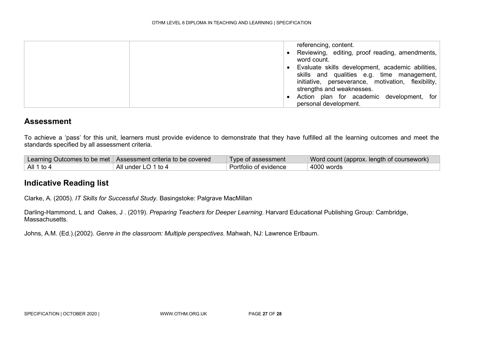| referencing, content.<br>Reviewing, editing, proof reading, amendments,<br>word count.                                                                                            |
|-----------------------------------------------------------------------------------------------------------------------------------------------------------------------------------|
| Evaluate skills development, academic abilities,<br>skills and qualities e.g. time management,<br>initiative, perseverance, motivation, flexibility,<br>strengths and weaknesses. |
| Action plan for academic development, for<br>personal development.                                                                                                                |

To achieve a 'pass' for this unit, learners must provide evidence to demonstrate that they have fulfilled all the learning outcomes and meet the standards specified by all assessment criteria.

|                    | Learning Outcomes to be met   Assessment criteria to be covered | Type of assessment    | Word count (approx. length of coursework) |
|--------------------|-----------------------------------------------------------------|-----------------------|-------------------------------------------|
| $\vert$ All 1 to 4 | All under LO 1 to 4                                             | Portfolio of evidence | 4000 words                                |

### **Indicative Reading list**

Clarke, A. (2005). *IT Skills for Successful Study*. Basingstoke: Palgrave MacMillan

Darling-Hammond, L and Oakes, J . (2019). *Preparing Teachers for Deeper Learning.* Harvard Educational Publishing Group: Cambridge, Massachusetts.

Johns, A.M. (Ed.).(2002). *Genre in the classroom: Multiple perspectives*. Mahwah, NJ: Lawrence Erlbaum.